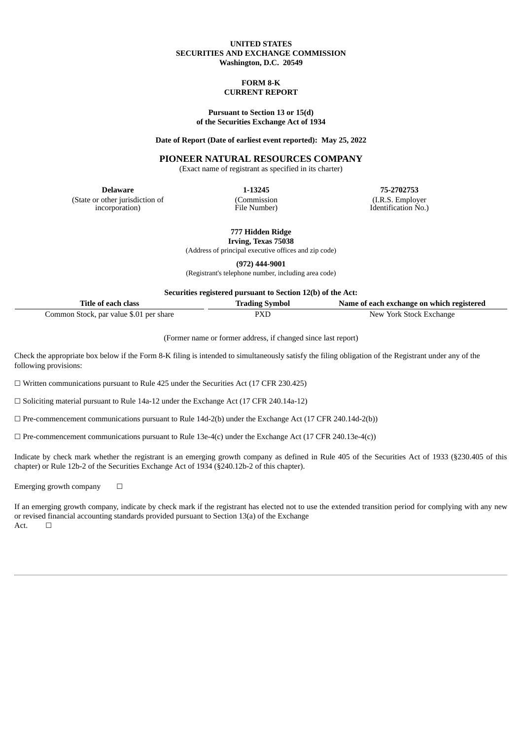## **UNITED STATES SECURITIES AND EXCHANGE COMMISSION Washington, D.C. 20549**

#### **FORM 8-K CURRENT REPORT**

### **Pursuant to Section 13 or 15(d) of the Securities Exchange Act of 1934**

### **Date of Report (Date of earliest event reported): May 25, 2022**

## **PIONEER NATURAL RESOURCES COMPANY**

(Exact name of registrant as specified in its charter)

(State or other jurisdiction of incorporation)

(Commission File Number)

**Delaware 1-13245 75-2702753** (I.R.S. Employer Identification No.)

**777 Hidden Ridge**

**Irving, Texas 75038** (Address of principal executive offices and zip code)

**(972) 444-9001**

(Registrant's telephone number, including area code)

**Securities registered pursuant to Section 12(b) of the Act:**

| Title of each class                     | <b>Trading Symbol</b> | Name of each exchange on which registered |
|-----------------------------------------|-----------------------|-------------------------------------------|
| Common Stock, par value \$.01 per share | PXD                   | New York Stock Exchange                   |

(Former name or former address, if changed since last report)

Check the appropriate box below if the Form 8-K filing is intended to simultaneously satisfy the filing obligation of the Registrant under any of the following provisions:

☐ Written communications pursuant to Rule 425 under the Securities Act (17 CFR 230.425)

☐ Soliciting material pursuant to Rule 14a-12 under the Exchange Act (17 CFR 240.14a-12)

 $\Box$  Pre-commencement communications pursuant to Rule 14d-2(b) under the Exchange Act (17 CFR 240.14d-2(b))

 $\Box$  Pre-commencement communications pursuant to Rule 13e-4(c) under the Exchange Act (17 CFR 240.13e-4(c))

Indicate by check mark whether the registrant is an emerging growth company as defined in Rule 405 of the Securities Act of 1933 (§230.405 of this chapter) or Rule 12b-2 of the Securities Exchange Act of 1934 (§240.12b-2 of this chapter).

Emerging growth company  $\Box$ 

If an emerging growth company, indicate by check mark if the registrant has elected not to use the extended transition period for complying with any new or revised financial accounting standards provided pursuant to Section 13(a) of the Exchange Act.  $□$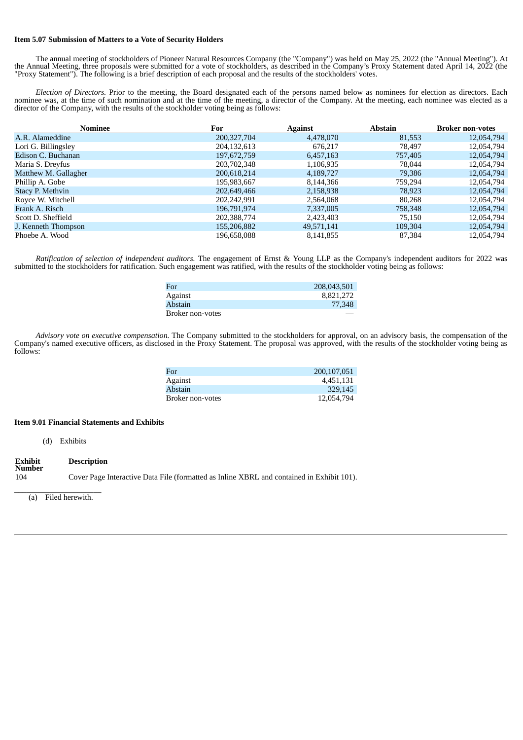## **Item 5.07 Submission of Matters to a Vote of Security Holders**

The annual meeting of stockholders of Pioneer Natural Resources Company (the "Company") was held on May 25, 2022 (the "Annual Meeting"). At the Annual Meeting, three proposals were submitted for a vote of stockholders, as described in the Company's Proxy Statement dated April 14, 2022 (the "Proxy Statement"). The following is a brief description of each proposal and the results of the stockholders' votes.

*Election of Directors.* Prior to the meeting, the Board designated each of the persons named below as nominees for election as directors. Each nominee was, at the time of such nomination and at the time of the meeting, a director of the Company. At the meeting, each nominee was elected as a director of the Company, with the results of the stockholder voting being as follows:

| Nominee              | For           | <b>Against</b> | <b>Abstain</b> | <b>Broker non-votes</b> |
|----------------------|---------------|----------------|----------------|-------------------------|
| A.R. Alameddine      | 200, 327, 704 | 4,478,070      | 81,553         | 12,054,794              |
| Lori G. Billingsley  | 204,132,613   | 676,217        | 78,497         | 12,054,794              |
| Edison C. Buchanan   | 197,672,759   | 6,457,163      | 757,405        | 12,054,794              |
| Maria S. Dreyfus     | 203,702,348   | 1,106,935      | 78,044         | 12,054,794              |
| Matthew M. Gallagher | 200,618,214   | 4,189,727      | 79,386         | 12,054,794              |
| Phillip A. Gobe      | 195,983,667   | 8,144,366      | 759,294        | 12,054,794              |
| Stacy P. Methvin     | 202,649,466   | 2,158,938      | 78,923         | 12,054,794              |
| Royce W. Mitchell    | 202,242,991   | 2,564,068      | 80,268         | 12,054,794              |
| Frank A. Risch       | 196,791,974   | 7,337,005      | 758,348        | 12,054,794              |
| Scott D. Sheffield   | 202,388,774   | 2,423,403      | 75,150         | 12,054,794              |
| J. Kenneth Thompson  | 155,206,882   | 49,571,141     | 109,304        | 12,054,794              |
| Phoebe A. Wood       | 196,658,088   | 8,141,855      | 87,384         | 12.054.794              |

*Ratification of selection of independent auditors.* The engagement of Ernst & Young LLP as the Company's independent auditors for 2022 was submitted to the stockholders for ratification. Such engagement was ratified, with the results of the stockholder voting being as follows:

| 208,043,501 |
|-------------|
| 8,821,272   |
| 77,348      |
|             |
|             |

*Advisory vote on executive compensation.* The Company submitted to the stockholders for approval, on an advisory basis, the compensation of the Company's named executive officers, as disclosed in the Proxy Statement. The proposal was approved, with the results of the stockholder voting being as follows:

| For              | 200, 107, 051 |
|------------------|---------------|
| Against          | 4.451.131     |
| <b>Abstain</b>   | 329.145       |
| Broker non-votes | 12,054,794    |

### **Item 9.01 Financial Statements and Exhibits**

(d) Exhibits

#### **Exhibit Number Description**

104 Cover Page Interactive Data File (formatted as Inline XBRL and contained in Exhibit 101).

 $\overline{\phantom{a}}$  , we can assume that the contract of  $\overline{\phantom{a}}$ (a) Filed herewith.